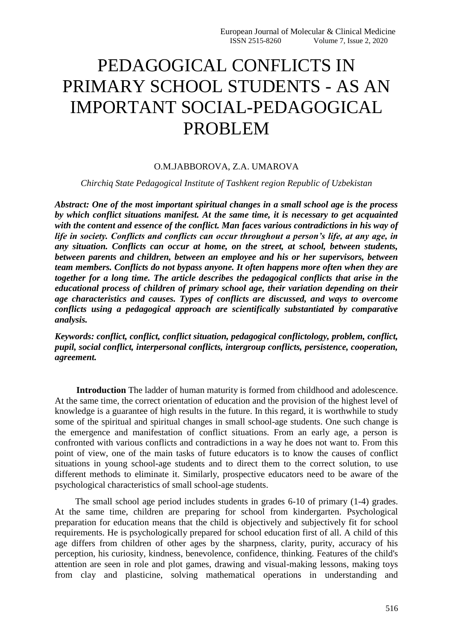# PEDAGOGICAL CONFLICTS IN PRIMARY SCHOOL STUDENTS - AS AN IMPORTANT SOCIAL-PEDAGOGICAL PROBLEM

### O.M.JABBOROVA, Z.A. UMAROVA

#### *Chirchiq State Pedagogical Institute of Tashkent region Republic of Uzbekistan*

*Abstract: One of the most important spiritual changes in a small school age is the process by which conflict situations manifest. At the same time, it is necessary to get acquainted with the content and essence of the conflict. Man faces various contradictions in his way of life in society. Conflicts and conflicts can occur throughout a person's life, at any age, in any situation. Conflicts can occur at home, on the street, at school, between students, between parents and children, between an employee and his or her supervisors, between team members. Conflicts do not bypass anyone. It often happens more often when they are together for a long time. The article describes the pedagogical conflicts that arise in the educational process of children of primary school age, their variation depending on their age characteristics and causes. Types of conflicts are discussed, and ways to overcome conflicts using a pedagogical approach are scientifically substantiated by comparative analysis.*

*Keywords: conflict, conflict, conflict situation, pedagogical conflictology, problem, conflict, pupil, social conflict, interpersonal conflicts, intergroup conflicts, persistence, cooperation, agreement.*

**Introduction** The ladder of human maturity is formed from childhood and adolescence. At the same time, the correct orientation of education and the provision of the highest level of knowledge is a guarantee of high results in the future. In this regard, it is worthwhile to study some of the spiritual and spiritual changes in small school-age students. One such change is the emergence and manifestation of conflict situations. From an early age, a person is confronted with various conflicts and contradictions in a way he does not want to. From this point of view, one of the main tasks of future educators is to know the causes of conflict situations in young school-age students and to direct them to the correct solution, to use different methods to eliminate it. Similarly, prospective educators need to be aware of the psychological characteristics of small school-age students.

 The small school age period includes students in grades 6-10 of primary (1-4) grades. At the same time, children are preparing for school from kindergarten. Psychological preparation for education means that the child is objectively and subjectively fit for school requirements. He is psychologically prepared for school education first of all. A child of this age differs from children of other ages by the sharpness, clarity, purity, accuracy of his perception, his curiosity, kindness, benevolence, confidence, thinking. Features of the child's attention are seen in role and plot games, drawing and visual-making lessons, making toys from clay and plasticine, solving mathematical operations in understanding and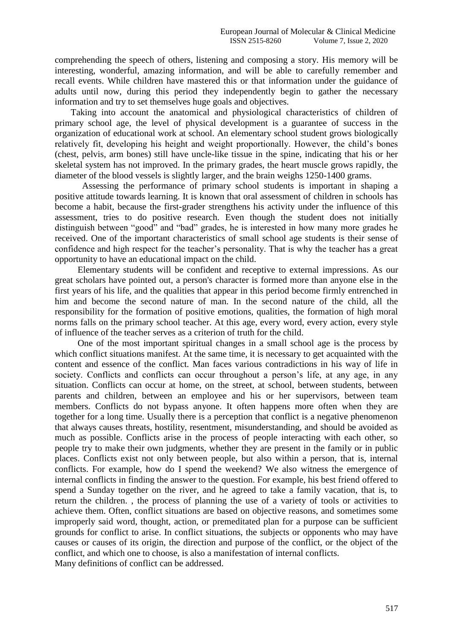comprehending the speech of others, listening and composing a story. His memory will be interesting, wonderful, amazing information, and will be able to carefully remember and recall events. While children have mastered this or that information under the guidance of adults until now, during this period they independently begin to gather the necessary information and try to set themselves huge goals and objectives.

 Taking into account the anatomical and physiological characteristics of children of primary school age, the level of physical development is a guarantee of success in the organization of educational work at school. An elementary school student grows biologically relatively fit, developing his height and weight proportionally. However, the child's bones (chest, pelvis, arm bones) still have uncle-like tissue in the spine, indicating that his or her skeletal system has not improved. In the primary grades, the heart muscle grows rapidly, the diameter of the blood vessels is slightly larger, and the brain weighs 1250-1400 grams.

 Assessing the performance of primary school students is important in shaping a positive attitude towards learning. It is known that oral assessment of children in schools has become a habit, because the first-grader strengthens his activity under the influence of this assessment, tries to do positive research. Even though the student does not initially distinguish between "good" and "bad" grades, he is interested in how many more grades he received. One of the important characteristics of small school age students is their sense of confidence and high respect for the teacher's personality. That is why the teacher has a great opportunity to have an educational impact on the child.

 Elementary students will be confident and receptive to external impressions. As our great scholars have pointed out, a person's character is formed more than anyone else in the first years of his life, and the qualities that appear in this period become firmly entrenched in him and become the second nature of man. In the second nature of the child, all the responsibility for the formation of positive emotions, qualities, the formation of high moral norms falls on the primary school teacher. At this age, every word, every action, every style of influence of the teacher serves as a criterion of truth for the child.

 One of the most important spiritual changes in a small school age is the process by which conflict situations manifest. At the same time, it is necessary to get acquainted with the content and essence of the conflict. Man faces various contradictions in his way of life in society. Conflicts and conflicts can occur throughout a person's life, at any age, in any situation. Conflicts can occur at home, on the street, at school, between students, between parents and children, between an employee and his or her supervisors, between team members. Conflicts do not bypass anyone. It often happens more often when they are together for a long time. Usually there is a perception that conflict is a negative phenomenon that always causes threats, hostility, resentment, misunderstanding, and should be avoided as much as possible. Conflicts arise in the process of people interacting with each other, so people try to make their own judgments, whether they are present in the family or in public places. Conflicts exist not only between people, but also within a person, that is, internal conflicts. For example, how do I spend the weekend? We also witness the emergence of internal conflicts in finding the answer to the question. For example, his best friend offered to spend a Sunday together on the river, and he agreed to take a family vacation, that is, to return the children. , the process of planning the use of a variety of tools or activities to achieve them. Often, conflict situations are based on objective reasons, and sometimes some improperly said word, thought, action, or premeditated plan for a purpose can be sufficient grounds for conflict to arise. In conflict situations, the subjects or opponents who may have causes or causes of its origin, the direction and purpose of the conflict, or the object of the conflict, and which one to choose, is also a manifestation of internal conflicts.

Many definitions of conflict can be addressed.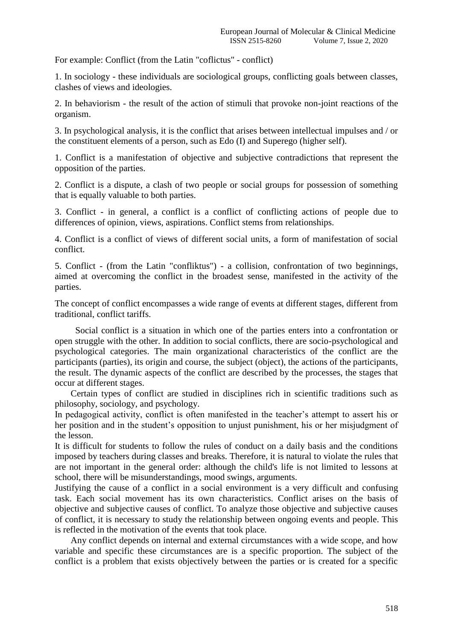For example: Conflict (from the Latin "coflictus" - conflict)

1. In sociology - these individuals are sociological groups, conflicting goals between classes, clashes of views and ideologies.

2. In behaviorism - the result of the action of stimuli that provoke non-joint reactions of the organism.

3. In psychological analysis, it is the conflict that arises between intellectual impulses and / or the constituent elements of a person, such as Edo (I) and Superego (higher self).

1. Conflict is a manifestation of objective and subjective contradictions that represent the opposition of the parties.

2. Conflict is a dispute, a clash of two people or social groups for possession of something that is equally valuable to both parties.

3. Conflict - in general, a conflict is a conflict of conflicting actions of people due to differences of opinion, views, aspirations. Conflict stems from relationships.

4. Conflict is a conflict of views of different social units, a form of manifestation of social conflict.

5. Conflict - (from the Latin "confliktus") - a collision, confrontation of two beginnings, aimed at overcoming the conflict in the broadest sense, manifested in the activity of the parties.

The concept of conflict encompasses a wide range of events at different stages, different from traditional, conflict tariffs.

 Social conflict is a situation in which one of the parties enters into a confrontation or open struggle with the other. In addition to social conflicts, there are socio-psychological and psychological categories. The main organizational characteristics of the conflict are the participants (parties), its origin and course, the subject (object), the actions of the participants, the result. The dynamic aspects of the conflict are described by the processes, the stages that occur at different stages.

 Certain types of conflict are studied in disciplines rich in scientific traditions such as philosophy, sociology, and psychology.

In pedagogical activity, conflict is often manifested in the teacher's attempt to assert his or her position and in the student's opposition to unjust punishment, his or her misjudgment of the lesson.

It is difficult for students to follow the rules of conduct on a daily basis and the conditions imposed by teachers during classes and breaks. Therefore, it is natural to violate the rules that are not important in the general order: although the child's life is not limited to lessons at school, there will be misunderstandings, mood swings, arguments.

Justifying the cause of a conflict in a social environment is a very difficult and confusing task. Each social movement has its own characteristics. Conflict arises on the basis of objective and subjective causes of conflict. To analyze those objective and subjective causes of conflict, it is necessary to study the relationship between ongoing events and people. This is reflected in the motivation of the events that took place.

 Any conflict depends on internal and external circumstances with a wide scope, and how variable and specific these circumstances are is a specific proportion. The subject of the conflict is a problem that exists objectively between the parties or is created for a specific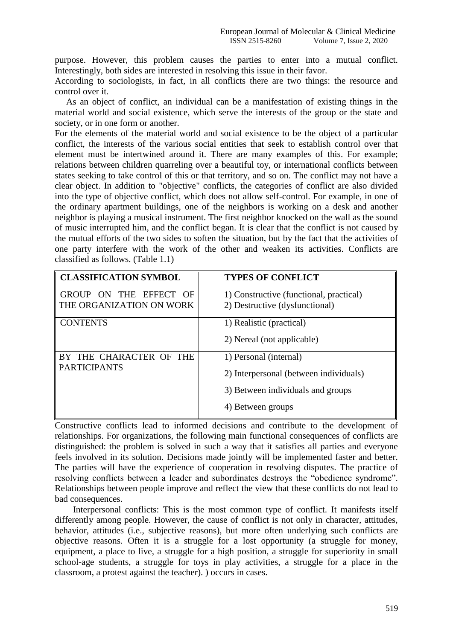purpose. However, this problem causes the parties to enter into a mutual conflict. Interestingly, both sides are interested in resolving this issue in their favor.

According to sociologists, in fact, in all conflicts there are two things: the resource and control over it.

 As an object of conflict, an individual can be a manifestation of existing things in the material world and social existence, which serve the interests of the group or the state and society, or in one form or another.

For the elements of the material world and social existence to be the object of a particular conflict, the interests of the various social entities that seek to establish control over that element must be intertwined around it. There are many examples of this. For example; relations between children quarreling over a beautiful toy, or international conflicts between states seeking to take control of this or that territory, and so on. The conflict may not have a clear object. In addition to "objective" conflicts, the categories of conflict are also divided into the type of objective conflict, which does not allow self-control. For example, in one of the ordinary apartment buildings, one of the neighbors is working on a desk and another neighbor is playing a musical instrument. The first neighbor knocked on the wall as the sound of music interrupted him, and the conflict began. It is clear that the conflict is not caused by the mutual efforts of the two sides to soften the situation, but by the fact that the activities of one party interfere with the work of the other and weaken its activities. Conflicts are classified as follows. (Table 1.1)

| <b>CLASSIFICATION SYMBOL</b>                       | <b>TYPES OF CONFLICT</b>                                                  |
|----------------------------------------------------|---------------------------------------------------------------------------|
| GROUP ON THE EFFECT OF<br>THE ORGANIZATION ON WORK | 1) Constructive (functional, practical)<br>2) Destructive (dysfunctional) |
| <b>CONTENTS</b>                                    | 1) Realistic (practical)                                                  |
|                                                    | 2) Nereal (not applicable)                                                |
| BY THE CHARACTER OF THE<br><b>PARTICIPANTS</b>     | 1) Personal (internal)<br>2) Interpersonal (between individuals)          |
|                                                    | 3) Between individuals and groups                                         |
|                                                    | 4) Between groups                                                         |

Constructive conflicts lead to informed decisions and contribute to the development of relationships. For organizations, the following main functional consequences of conflicts are distinguished: the problem is solved in such a way that it satisfies all parties and everyone feels involved in its solution. Decisions made jointly will be implemented faster and better. The parties will have the experience of cooperation in resolving disputes. The practice of resolving conflicts between a leader and subordinates destroys the "obedience syndrome". Relationships between people improve and reflect the view that these conflicts do not lead to bad consequences.

 Interpersonal conflicts: This is the most common type of conflict. It manifests itself differently among people. However, the cause of conflict is not only in character, attitudes, behavior, attitudes (i.e., subjective reasons), but more often underlying such conflicts are objective reasons. Often it is a struggle for a lost opportunity (a struggle for money, equipment, a place to live, a struggle for a high position, a struggle for superiority in small school-age students, a struggle for toys in play activities, a struggle for a place in the classroom, a protest against the teacher). ) occurs in cases.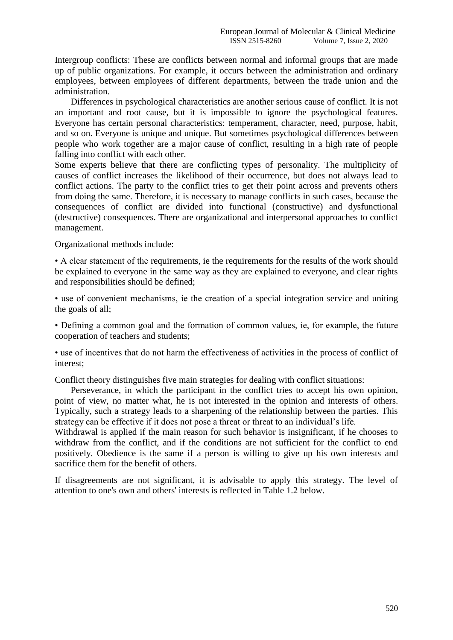Intergroup conflicts: These are conflicts between normal and informal groups that are made up of public organizations. For example, it occurs between the administration and ordinary employees, between employees of different departments, between the trade union and the administration.

 Differences in psychological characteristics are another serious cause of conflict. It is not an important and root cause, but it is impossible to ignore the psychological features. Everyone has certain personal characteristics: temperament, character, need, purpose, habit, and so on. Everyone is unique and unique. But sometimes psychological differences between people who work together are a major cause of conflict, resulting in a high rate of people falling into conflict with each other.

Some experts believe that there are conflicting types of personality. The multiplicity of causes of conflict increases the likelihood of their occurrence, but does not always lead to conflict actions. The party to the conflict tries to get their point across and prevents others from doing the same. Therefore, it is necessary to manage conflicts in such cases, because the consequences of conflict are divided into functional (constructive) and dysfunctional (destructive) consequences. There are organizational and interpersonal approaches to conflict management.

Organizational methods include:

• A clear statement of the requirements, ie the requirements for the results of the work should be explained to everyone in the same way as they are explained to everyone, and clear rights and responsibilities should be defined;

• use of convenient mechanisms, ie the creation of a special integration service and uniting the goals of all;

• Defining a common goal and the formation of common values, ie, for example, the future cooperation of teachers and students;

• use of incentives that do not harm the effectiveness of activities in the process of conflict of interest;

Conflict theory distinguishes five main strategies for dealing with conflict situations:

 Perseverance, in which the participant in the conflict tries to accept his own opinion, point of view, no matter what, he is not interested in the opinion and interests of others. Typically, such a strategy leads to a sharpening of the relationship between the parties. This strategy can be effective if it does not pose a threat or threat to an individual's life.

Withdrawal is applied if the main reason for such behavior is insignificant, if he chooses to withdraw from the conflict, and if the conditions are not sufficient for the conflict to end positively. Obedience is the same if a person is willing to give up his own interests and sacrifice them for the benefit of others.

If disagreements are not significant, it is advisable to apply this strategy. The level of attention to one's own and others' interests is reflected in Table 1.2 below.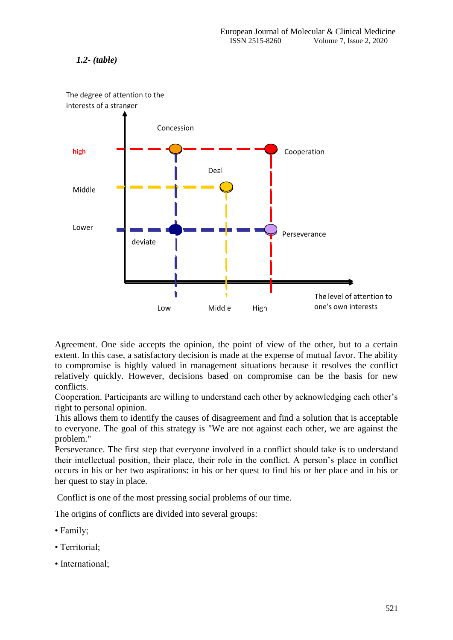## *1.2- (table)*



The degree of attention to the interests of a stranger

Agreement. One side accepts the opinion, the point of view of the other, but to a certain extent. In this case, a satisfactory decision is made at the expense of mutual favor. The ability to compromise is highly valued in management situations because it resolves the conflict relatively quickly. However, decisions based on compromise can be the basis for new conflicts.

Cooperation. Participants are willing to understand each other by acknowledging each other's right to personal opinion.

This allows them to identify the causes of disagreement and find a solution that is acceptable to everyone. The goal of this strategy is "We are not against each other, we are against the problem."

Perseverance. The first step that everyone involved in a conflict should take is to understand their intellectual position, their place, their role in the conflict. A person's place in conflict occurs in his or her two aspirations: in his or her quest to find his or her place and in his or her quest to stay in place.

Conflict is one of the most pressing social problems of our time.

The origins of conflicts are divided into several groups:

- Family;
- Territorial;
- International;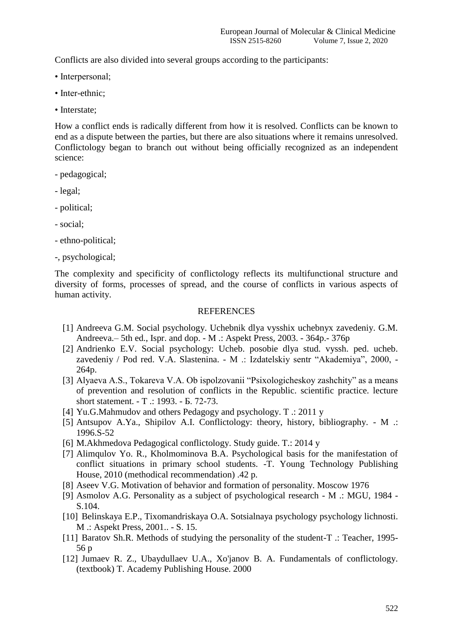Conflicts are also divided into several groups according to the participants:

- Interpersonal;
- Inter-ethnic;
- Interstate;

How a conflict ends is radically different from how it is resolved. Conflicts can be known to end as a dispute between the parties, but there are also situations where it remains unresolved. Conflictology began to branch out without being officially recognized as an independent science:

- pedagogical;
- legal;
- political;
- social;
- ethno-political;
- -, psychological;

The complexity and specificity of conflictology reflects its multifunctional structure and diversity of forms, processes of spread, and the course of conflicts in various aspects of human activity.

#### **REFERENCES**

- [1] Andreeva G.M. Social psychology. Uchebnik dlya vysshix uchebnyx zavedeniy. G.M. Andreeva.– 5th ed., Ispr. and dop. - M .: Aspekt Press, 2003. - 364p.- 376p
- [2] Andrienko E.V. Social psychology: Ucheb. posobie dlya stud. vyssh. ped. ucheb. zavedeniy / Pod red. V.A. Slastenina. - M .: Izdatelskiy sentr "Akademiya", 2000, - 264p.
- [3] Alyaeva A.S., Tokareva V.A. Ob ispolzovanii "Psixologicheskoy zashchity" as a means of prevention and resolution of conflicts in the Republic. scientific practice. lecture short statement. - T .: 1993. - Б. 72-73.
- [4] Yu.G.Mahmudov and others Pedagogy and psychology. T .: 2011 y
- [5] Antsupov A.Ya., Shipilov A.I. Conflictology: theory, history, bibliography. M .: 1996.S-52
- [6] M.Akhmedova Pedagogical conflictology. Study guide. T.: 2014 y
- [7] Alimqulov Yo. R., Kholmominova B.A. Psychological basis for the manifestation of conflict situations in primary school students. -T. Young Technology Publishing House, 2010 (methodical recommendation) .42 p.
- [8] Aseev V.G. Motivation of behavior and formation of personality. Moscow 1976
- [9] Asmolov A.G. Personality as a subject of psychological research M .: MGU, 1984 S.104.
- [10] Belinskaya E.P., Tixomandriskaya O.A. Sotsialnaya psychology psychology lichnosti. M .: Aspekt Press, 2001.. - S. 15.
- [11] Baratov Sh.R. Methods of studying the personality of the student-T .: Teacher, 1995- 56 p
- [12] Jumaev R. Z., Ubaydullaev U.A., Xo'janov B. A. Fundamentals of conflictology. (textbook) T. Academy Publishing House. 2000